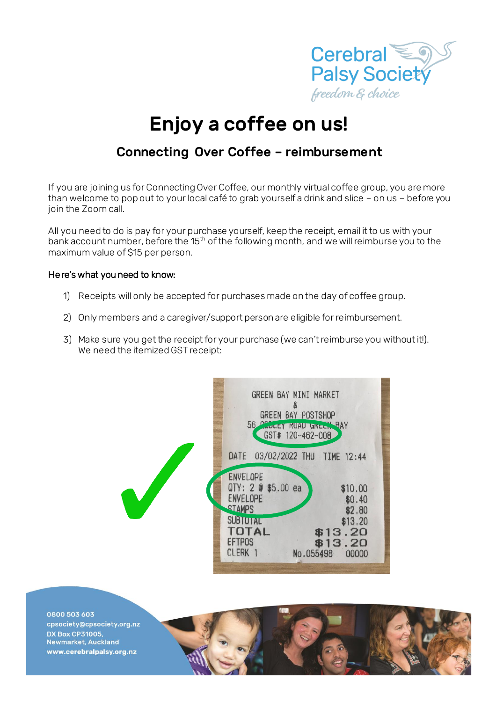

## Enjoy a coffee on us!

## Connecting Over Coffee – reimbursement

If you are joining us for Connecting Over Coffee, our monthly virtual coffee group, you are more than welcome to pop out to your local café to grab yourself a drink and slice – on us – before you join the Zoom call.

All you need to do is pay for your purchase yourself, keep the receipt, email it to us with your bank account number, before the 15<sup>th</sup> of the following month, and we will reimburse you to the maximum value of \$15 per person.

## Here's what you need to know:

- 1) Receipts will only be accepted for purchases made on the day of coffee group.
- 2) Only members and a caregiver/support person are eligible for reimbursement.
- 3) Make sure you get the receipt for your purchase (we can't reimburse you without it!). We need the itemized GST receipt:



0800 503 603 cpsociety@cpsociety.org.nz **DX Box CP31005,** Newmarket, Auckland www.cerebralpalsy.org.nz